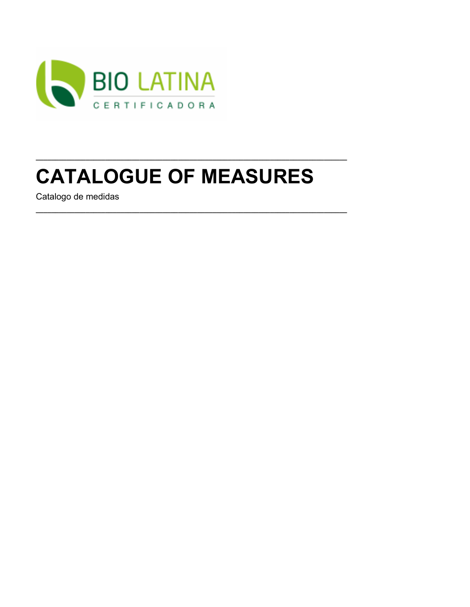

# **CATALOGUE OF MEASURES**

Catalogo de medidas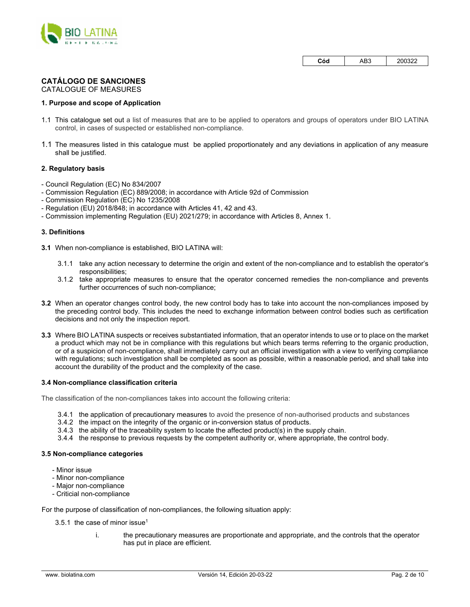

| Cód<br>AB3 | 200322 |
|------------|--------|
|------------|--------|

## **CATÁLOGO DE SANCIONES**

CATALOGUE OF MEASURES

### **1. Purpose and scope of Application**

- 1.1 This catalogue set out a list of measures that are to be applied to operators and groups of operators under BIO LATINA control, in cases of suspected or established non-compliance.
- 1.1 The measures listed in this catalogue must be applied proportionately and any deviations in application of any measure shall be justified.

### **2. Regulatory basis**

- Council Regulation (EC) No 834/2007
- Commission Regulation (EC) 889/2008; in accordance with Article 92d of Commission
- Commission Regulation (EC) No 1235/2008
- Regulation (EU) 2018/848; in accordance with Articles 41, 42 and 43.
- Commission implementing Regulation (EU) 2021/279; in accordance with Articles 8, Annex 1.

### **3. Definitions**

**3.1** When non-compliance is established, BIO LATINA will:

- 3.1.1 take any action necessary to determine the origin and extent of the non-compliance and to establish the operator's responsibilities;
- 3.1.2 take appropriate measures to ensure that the operator concerned remedies the non-compliance and prevents further occurrences of such non-compliance;
- **3.2** When an operator changes control body, the new control body has to take into account the non-compliances imposed by the preceding control body. This includes the need to exchange information between control bodies such as certification decisions and not only the inspection report.
- **3.3** Where BIO LATINA suspects or receives substantiated information, that an operator intends to use or to place on the market a product which may not be in compliance with this regulations but which bears terms referring to the organic production, or of a suspicion of non-compliance, shall immediately carry out an official investigation with a view to verifying compliance with regulations; such investigation shall be completed as soon as possible, within a reasonable period, and shall take into account the durability of the product and the complexity of the case.

#### **3.4 Non-compliance classification criteria**

The classification of the non-compliances takes into account the following criteria:

- 3.4.1 the application of precautionary measures to avoid the presence of non-authorised products and substances
- 3.4.2 the impact on the integrity of the organic or in-conversion status of products.
- 3.4.3 the ability of the traceability system to locate the affected product(s) in the supply chain.
- 3.4.4 the response to previous requests by the competent authority or, where appropriate, the control body.

#### **3.5 Non-compliance categories**

- Minor issue
- Minor non-compliance
- Major non-compliance
- Criticial non-compliance

For the purpose of classification of non-compliances, the following situation apply:

- 3.5.1 the case of minor issue<sup>1</sup>
	- i. the precautionary measures are proportionate and appropriate, and the controls that the operator has put in place are efficient.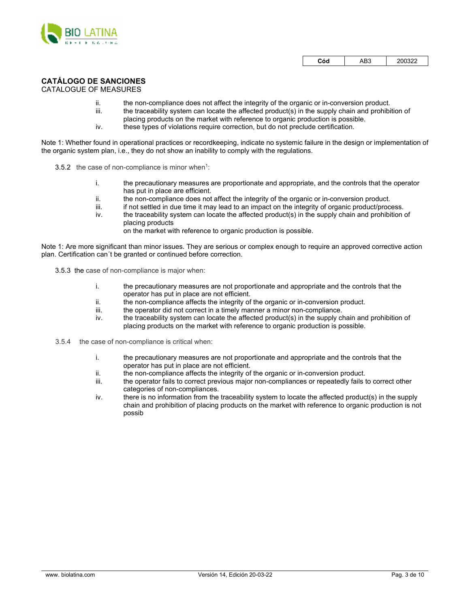

| Cód | AB3 | 200322 |
|-----|-----|--------|
|-----|-----|--------|

## **CATÁLOGO DE SANCIONES**

### CATALOGUE OF MEASURES

- ii. the non-compliance does not affect the integrity of the organic or in-conversion product.
- iii. the traceability system can locate the affected product(s) in the supply chain and prohibition of placing products on the market with reference to organic production is possible.
- iv. these types of violations require correction, but do not preclude certification.

Note 1: Whether found in operational practices or recordkeeping, indicate no systemic failure in the design or implementation of the organic system plan, i.e., they do not show an inability to comply with the regulations.

- 3.5.2 the case of non-compliance is minor when<sup>1</sup>:
	- i. the precautionary measures are proportionate and appropriate, and the controls that the operator has put in place are efficient.
	- ii. the non-compliance does not affect the integrity of the organic or in-conversion product.<br>iii. if not settled in due time it may lead to an impact on the integrity of organic product/proc
	- if not settled in due time it may lead to an impact on the integrity of organic product/process.
	- iv. the traceability system can locate the affected product(s) in the supply chain and prohibition of placing products

on the market with reference to organic production is possible.

Note 1: Are more significant than minor issues. They are serious or complex enough to require an approved corrective action plan. Certification can´t be granted or continued before correction.

3.5.3 the case of non-compliance is major when:

- i. the precautionary measures are not proportionate and appropriate and the controls that the operator has put in place are not efficient.
- ii. the non-compliance affects the integrity of the organic or in-conversion product.
- iii. the operator did not correct in a timely manner a minor non-compliance.
- iv. the traceability system can locate the affected product(s) in the supply chain and prohibition of placing products on the market with reference to organic production is possible.
- 3.5.4 the case of non-compliance is critical when:
	- i. the precautionary measures are not proportionate and appropriate and the controls that the operator has put in place are not efficient.
	- ii. the non-compliance affects the integrity of the organic or in-conversion product.
	- iii. the operator fails to correct previous major non-compliances or repeatedly fails to correct other categories of non-compliances.
	- iv. there is no information from the traceability system to locate the affected product(s) in the supply chain and prohibition of placing products on the market with reference to organic production is not possib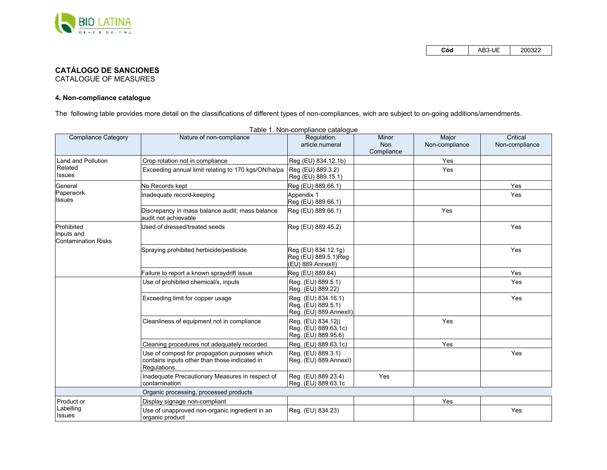

**Cód** AB3-UE<sup>200322</sup>

# **CATÁLOGO DE SANCIONES**

CATALOGUE OF MEASURES

## **4. Non-compliance catalogue**

The following table provides more detail on the classifications of different types of non-compliances, wich are subject to on-going additions/amendments.<br>Table 1. Non-compliance catalogue

| <b>Compliance Category</b>                             | Nature of non-compliance                                                                                       | l able 1. Non-compliance catalogue<br>Regulation.                   | Minor                    | Major          | Critical       |
|--------------------------------------------------------|----------------------------------------------------------------------------------------------------------------|---------------------------------------------------------------------|--------------------------|----------------|----------------|
|                                                        |                                                                                                                | article.numeral                                                     | <b>Non</b><br>Compliance | Non-compliance | Non-compliance |
| <b>Land and Pollution</b>                              | Crop rotation not in compliance                                                                                | Reg (EU) 834.12.1b)                                                 |                          | Yes            |                |
| Related<br><b>Issues</b>                               | Exceeding annual limit relating to 170 kgs/ON/ha/pa                                                            | Reg (EU) 889.3.2)<br>Reg (EU) 889.15.1)                             |                          | Yes            |                |
| General                                                | No Records kept                                                                                                | Reg (EU) 889.66.1)                                                  |                          |                | Yes            |
| Paperwork<br>Issues                                    | Inadequate record-keeping                                                                                      | Appendix 1<br>Reg (EU) 889.66.1)                                    |                          |                | Yes            |
|                                                        | Discrepancy in mass balance audit; mass balance<br>audit not achievable                                        | Reg (EU) 889.66.1)                                                  |                          | Yes            |                |
| Prohibited<br>Inputs and<br><b>Contamination Risks</b> | Used of dressed/treated seeds                                                                                  | Reg (EU) 889.45.2)                                                  |                          |                | Yes            |
|                                                        | Spraying prohibited herbicide/pesticide                                                                        | Reg (EU) 834.12.1g)<br>Reg (EU) 889.5.1)Reg<br>(EU) 889.AnnexII)    |                          |                | Yes            |
|                                                        | Failure to report a known spraydrift issue                                                                     | Reg (EU) 889.64)                                                    |                          |                | Yes            |
|                                                        | Use of prohibited chemical/s, inputs                                                                           | Reg. (EU) 889.5.1)<br>Reg. (EU) 889.22)                             |                          |                | Yes            |
|                                                        | Exceeding limit for copper usage                                                                               | Reg. (EU) 834.16.1)<br>Reg. (EU) 889.5.1)<br>Reg. (EU) 889.AnnexII) |                          |                | Yes            |
|                                                        | Cleanliness of equipment not in compliance                                                                     | Reg. (EU) 834.12j)<br>Reg. (EU) 889.63.1c)<br>Reg. (EU) 889.95.6)   |                          | Yes            |                |
|                                                        | Cleaning procedures not adequately recorded                                                                    | Reg. (EU) 889.63.1c)                                                |                          | Yes            |                |
|                                                        | Use of compost for propagation purposes which<br>contains inputs other than those indicated in<br>Regulations. | Reg. (EU) 889.3.1)<br>Reg. (EU) 889.Annexl)                         |                          |                | Yes            |
|                                                        | Inadequate Precautionary Measures in respect of<br>contamination                                               | Reg. (EU) 889.23.4)<br>Reg. (EU) 889.63.1c                          | Yes                      |                |                |
|                                                        | Organic processing, processed products                                                                         |                                                                     |                          |                |                |
| Product or                                             | Display signage non-compliant                                                                                  |                                                                     |                          | Yes            |                |
| Labelling<br><b>Issues</b>                             | Use of unapproved non-organic ingredient in an<br>organic product                                              | Reg. (EU) 834.23)                                                   |                          |                | Yes            |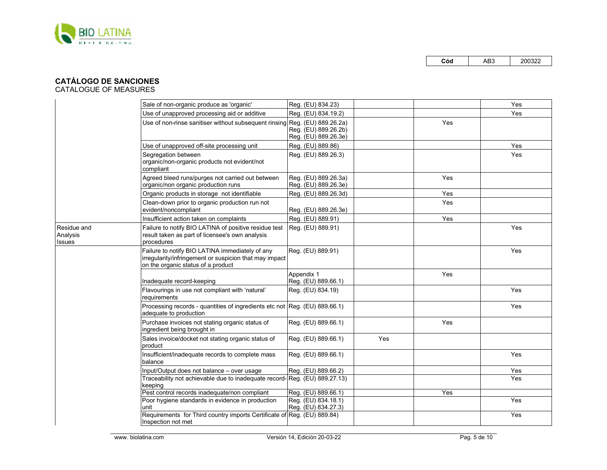

## **CATÁLOGO DE SANCIONES**

|                                          | Sale of non-organic produce as 'organic'                                                                                                        | Reg. (EU) 834.23)                            |     |            | Yes |
|------------------------------------------|-------------------------------------------------------------------------------------------------------------------------------------------------|----------------------------------------------|-----|------------|-----|
|                                          | Use of unapproved processing aid or additive                                                                                                    | Reg. (EU) 834.19.2)                          |     |            | Yes |
|                                          | Use of non-rinse sanitiser without subsequent rinsing Reg. (EU) 889.26.2a)                                                                      | Reg. (EU) 889.26.2b)<br>Reg. (EU) 889.26.3e) |     | <b>Yes</b> |     |
|                                          | Use of unapproved off-site processing unit                                                                                                      | Reg. (EU) 889.86)                            |     |            | Yes |
|                                          | Segregation between<br>organic/non-organic products not evident/not<br>compliant                                                                | Reg. (EU) 889.26.3)                          |     |            | Yes |
|                                          | Agreed bleed runs/purges not carried out between<br>organic/non organic production runs                                                         | Reg. (EU) 889.26.3a)<br>Reg. (EU) 889.26.3e) |     | Yes        |     |
|                                          | Organic products in storage not identifiable                                                                                                    | Reg. (EU) 889.26.3d)                         |     | Yes        |     |
|                                          | Clean-down prior to organic production run not<br>evident/noncompliant                                                                          | Reg. (EU) 889.26.3e)                         |     | Yes        |     |
|                                          | Insufficient action taken on complaints                                                                                                         | Reg. (EU) 889.91)                            |     | Yes        |     |
| Residue and<br>Analysis<br><b>Issues</b> | Failure to notify BIO LATINA of positive residue test<br>result taken as part of licensee's own analysis<br>procedures                          | Reg. (EU) 889.91)                            |     |            | Yes |
|                                          | Failure to notify BIO LATINA immediately of any<br>irregularity/infringement or suspicion that may impact<br>on the organic status of a product | Reg. (EU) 889.91)                            |     |            | Yes |
|                                          | Inadequate record-keeping                                                                                                                       | Appendix 1<br>Reg. (EU) 889.66.1)            |     | Yes        |     |
|                                          | Flavourings in use not compliant with 'natural'<br>requirements                                                                                 | Reg. (EU) 834.19)                            |     |            | Yes |
|                                          | Processing records - quantities of ingredients etc not Reg. (EU) 889.66.1)<br>adequate to production                                            |                                              |     |            | Yes |
|                                          | Purchase invoices not stating organic status of<br>ingredient being brought in                                                                  | Reg. (EU) 889.66.1)                          |     | Yes        |     |
|                                          | Sales invoice/docket not stating organic status of<br>product                                                                                   | Reg. (EU) 889.66.1)                          | Yes |            |     |
|                                          | Insufficient/inadequate records to complete mass<br>balance                                                                                     | Reg. (EU) 889.66.1)                          |     |            | Yes |
|                                          | Input/Output does not balance - over usage                                                                                                      | Reg. (EU) 889.66.2)                          |     |            | Yes |
|                                          | Traceability not achievable due to inadequate record- Reg. (EU) 889.27.13)<br>keeping                                                           |                                              |     |            | Yes |
|                                          | Pest control records inadequate/non compliant                                                                                                   | Reg. (EU) 889.66.1)                          |     | Yes        |     |
|                                          | Poor hygiene standards in evidence in production<br>unit                                                                                        | Reg. (EU) 834.18.1)<br>Reg. (EU) 834.27.3)   |     |            | Yes |
|                                          | Requirements for Third country imports Certificate of Reg. (EU) 889.84)<br>Inspection not met                                                   |                                              |     |            | Yes |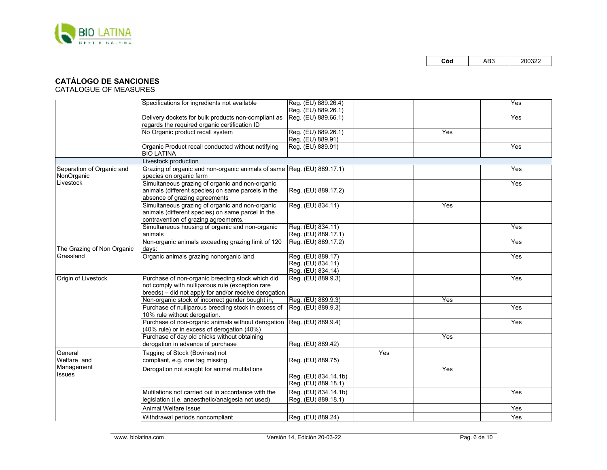

# **CATÁLOGO DE SANCIONES**

|                                         | Specifications for ingredients not available                                                                                                                  | Reg. (EU) 889.26.4)<br>Reg. (EU) 889.26.1)                  |     |     | Yes |
|-----------------------------------------|---------------------------------------------------------------------------------------------------------------------------------------------------------------|-------------------------------------------------------------|-----|-----|-----|
|                                         | Delivery dockets for bulk products non-compliant as<br>regards the required organic certification ID                                                          | Reg. (EU) 889.66.1)                                         |     |     | Yes |
|                                         | No Organic product recall system                                                                                                                              | Reg. (EU) 889.26.1)<br>Reg. (EU) 889.91)                    |     | Yes |     |
|                                         | Organic Product recall conducted without notifying<br><b>BIO LATINA</b>                                                                                       | Reg. (EU) 889.91)                                           |     |     | Yes |
|                                         | Livestock production                                                                                                                                          |                                                             |     |     |     |
| Separation of Organic and<br>NonOrganic | Grazing of organic and non-organic animals of same Reg. (EU) 889.17.1)<br>species on organic farm                                                             |                                                             |     |     | Yes |
| Livestock                               | Simultaneous grazing of organic and non-organic<br>animals (different species) on same parcels in the<br>absence of grazing agreements                        | Reg. (EU) 889.17.2)                                         |     |     | Yes |
|                                         | Simultaneous grazing of organic and non-organic<br>animals (different species) on same parcel In the<br>contravention of grazing agreements.                  | Reg. (EU) 834.11)                                           |     | Yes |     |
|                                         | Simultaneous housing of organic and non-organic<br>animals                                                                                                    | Reg. (EU) 834.11)<br>Reg. (EU) 889.17.1)                    |     |     | Yes |
| The Grazing of Non Organic              | Non-organic animals exceeding grazing limit of 120<br>days:                                                                                                   | Reg. (EU) 889.17.2)                                         |     |     | Yes |
| Grassland                               | Organic animals grazing nonorganic land                                                                                                                       | Reg. (EU) 889.17)<br>Reg. (EU) 834.11)<br>Reg. (EU) 834.14) |     |     | Yes |
| Origin of Livestock                     | Purchase of non-organic breeding stock which did<br>not comply with nulliparous rule (exception rare<br>breeds) - did not apply for and/or receive derogation | Reg. (EU) 889.9.3)                                          |     |     | Yes |
|                                         | Non-organic stock of incorrect gender bought in,                                                                                                              | Reg. (EU) 889.9.3)                                          |     | Yes |     |
|                                         | Purchase of nulliparous breeding stock in excess of<br>10% rule without derogation.                                                                           | Reg. (EU) 889.9.3)                                          |     |     | Yes |
|                                         | Purchase of non-organic animals without derogation<br>(40% rule) or in excess of derogation (40%)                                                             | Reg. (EU) 889.9.4)                                          |     |     | Yes |
|                                         | Purchase of day old chicks without obtaining<br>derogation in advance of purchase                                                                             | Reg. (EU) 889.42)                                           |     | Yes |     |
| General<br>Welfare and                  | Tagging of Stock (Bovines) not<br>compliant, e.g. one tag missing                                                                                             | Reg. (EU) 889.75)                                           | Yes |     |     |
| Management<br><b>Issues</b>             | Derogation not sought for animal mutilations                                                                                                                  | Reg. (EU) 834.14.1b)<br>Reg. (EU) 889.18.1)                 |     | Yes |     |
|                                         | Mutilations not carried out in accordance with the<br>legislation (i.e. anaesthetic/analgesia not used)                                                       | Reg. (EU) 834.14.1b)<br>Reg. (EU) 889.18.1)                 |     |     | Yes |
|                                         | Animal Welfare Issue                                                                                                                                          |                                                             |     |     | Yes |
|                                         | Withdrawal periods noncompliant                                                                                                                               | Reg. (EU) 889.24)                                           |     |     | Yes |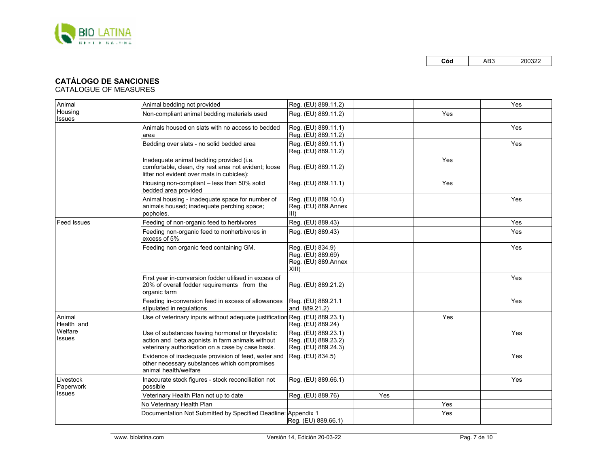

# **CATÁLOGO DE SANCIONES**

| Animal                   | Animal bedding not provided                                                                                                                               | Reg. (EU) 889.11.2)                                                      |     |     | Yes |
|--------------------------|-----------------------------------------------------------------------------------------------------------------------------------------------------------|--------------------------------------------------------------------------|-----|-----|-----|
| Housing<br><b>Issues</b> | Non-compliant animal bedding materials used                                                                                                               | Reg. (EU) 889.11.2)                                                      |     | Yes |     |
|                          | Animals housed on slats with no access to bedded<br>area                                                                                                  | Reg. (EU) 889.11.1)<br>Reg. (EU) 889.11.2)                               |     |     | Yes |
|                          | Bedding over slats - no solid bedded area                                                                                                                 | Reg. (EU) 889.11.1)<br>Reg. (EU) 889.11.2)                               |     |     | Yes |
|                          | Inadequate animal bedding provided (i.e.<br>comfortable, clean, dry rest area not evident; loose<br>litter not evident over mats in cubicles):            | Reg. (EU) 889.11.2)                                                      |     | Yes |     |
|                          | Housing non-compliant - less than 50% solid<br>bedded area provided                                                                                       | Reg. (EU) 889.11.1)                                                      |     | Yes |     |
|                          | Animal housing - inadequate space for number of<br>animals housed; inadequate perching space;<br>popholes.                                                | Reg. (EU) 889.10.4)<br>Reg. (EU) 889.Annex<br>$III$ )                    |     |     | Yes |
| <b>Feed Issues</b>       | Feeding of non-organic feed to herbivores                                                                                                                 | Reg. (EU) 889.43)                                                        |     |     | Yes |
|                          | Feeding non-organic feed to nonherbivores in<br>excess of 5%                                                                                              | Reg. (EU) 889.43)                                                        |     |     | Yes |
|                          | Feeding non organic feed containing GM.                                                                                                                   | Reg. (EU) 834.9)<br>Reg. (EU) 889.69)<br>Reg. (EU) 889.Annex<br>$XIII$ ) |     |     | Yes |
|                          | First year in-conversion fodder utilised in excess of<br>20% of overall fodder requirements from the<br>organic farm                                      | Reg. (EU) 889.21.2)                                                      |     |     | Yes |
|                          | Feeding in-conversion feed in excess of allowances<br>stipulated in regulations                                                                           | Reg. (EU) 889.21.1<br>and 889.21.2)                                      |     |     | Yes |
| Animal<br>Health and     | Use of veterinary inputs without adequate justification Req. (EU) 889.23.1)                                                                               | Reg. (EU) 889.24)                                                        |     | Yes |     |
| Welfare<br><b>Issues</b> | Use of substances having hormonal or thryostatic<br>action and beta agonists in farm animals without<br>veterinary authorisation on a case by case basis. | Reg. (EU) 889.23.1)<br>Reg. (EU) 889.23.2)<br>Reg. (EU) 889.24.3)        |     |     | Yes |
|                          | Evidence of inadequate provision of feed, water and<br>other necessary substances which compromises<br>animal health/welfare                              | Reg. (EU) 834.5)                                                         |     |     | Yes |
| Livestock<br>Paperwork   | Inaccurate stock figures - stock reconciliation not<br>possible                                                                                           | Reg. (EU) 889.66.1)                                                      |     |     | Yes |
| <b>Issues</b>            | Veterinary Health Plan not up to date                                                                                                                     | Reg. (EU) 889.76)                                                        | Yes |     |     |
|                          | No Veterinary Health Plan                                                                                                                                 |                                                                          |     | Yes |     |
|                          | Documentation Not Submitted by Specified Deadline: Appendix 1                                                                                             | Reg. (EU) 889.66.1)                                                      |     | Yes |     |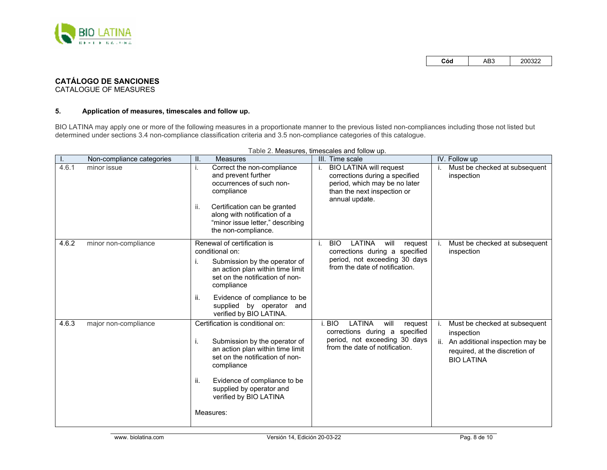

# **CATÁLOGO DE SANCIONES**

CATALOGUE OF MEASURES

## **5. Application of measures, timescales and follow up.**

BIO LATINA may apply one or more of the following measures in a proportionate manner to the previous listed non-compliances including those not listed but determined under sections 3.4 non-compliance classification criteria and 3.5 non-compliance categories of this catalogue.

|       | Non-compliance categories | II.<br>Measures                                                                                                                                                                                                                                                          | Time scale<br>III.                                                                                                                                       | IV. Follow up                                                                                                                                |
|-------|---------------------------|--------------------------------------------------------------------------------------------------------------------------------------------------------------------------------------------------------------------------------------------------------------------------|----------------------------------------------------------------------------------------------------------------------------------------------------------|----------------------------------------------------------------------------------------------------------------------------------------------|
| 4.6.1 | minor issue               | Correct the non-compliance<br>i.<br>and prevent further<br>occurrences of such non-<br>compliance<br>Certification can be granted<br>ii.<br>along with notification of a<br>"minor issue letter," describing<br>the non-compliance.                                      | <b>BIO LATINA will request</b><br>i.<br>corrections during a specified<br>period, which may be no later<br>than the next inspection or<br>annual update. | Must be checked at subsequent<br>inspection                                                                                                  |
| 4.6.2 | minor non-compliance      | Renewal of certification is<br>conditional on:<br>Submission by the operator of<br>i.<br>an action plan within time limit<br>set on the notification of non-<br>compliance<br>ii.<br>Evidence of compliance to be<br>supplied by operator and<br>verified by BIO LATINA. | LATINA<br><b>BIO</b><br>will<br>request<br>Τ.<br>corrections during a specified<br>period, not exceeding 30 days<br>from the date of notification.       | Must be checked at subsequent<br>inspection                                                                                                  |
| 4.6.3 | major non-compliance      | Certification is conditional on:<br>i.<br>Submission by the operator of<br>an action plan within time limit<br>set on the notification of non-<br>compliance<br>Evidence of compliance to be<br>ii.<br>supplied by operator and<br>verified by BIO LATINA<br>Measures:   | <b>LATINA</b><br>i. BIO<br>will<br>request<br>corrections during a specified<br>period, not exceeding 30 days<br>from the date of notification.          | Must be checked at subsequent<br>inspection<br>An additional inspection may be<br>ii.<br>required, at the discretion of<br><b>BIO LATINA</b> |

Table 2. Measures, timescales and follow up.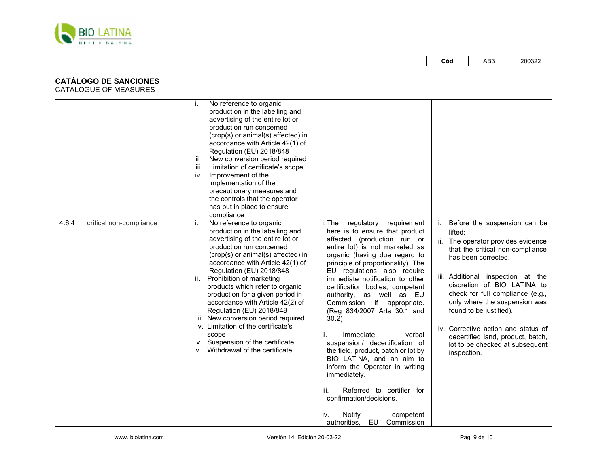

# **CATÁLOGO DE SANCIONES**

|                                  | No reference to organic<br>production in the labelling and<br>advertising of the entire lot or<br>production run concerned<br>(crop(s) or animal(s) affected) in<br>accordance with Article 42(1) of<br>Regulation (EU) 2018/848<br>New conversion period required<br>ii.<br>Limitation of certificate's scope<br>iii.<br>iv. Improvement of the<br>implementation of the<br>precautionary measures and<br>the controls that the operator<br>has put in place to ensure<br>compliance                                                                                            |                                                                                                                                                                                                                                                                                                                                                                                                                                                                                                                                                                                                                                                                                                                                                         |                                                                                                                                                                                                                                                                                                                                                                                                                                            |
|----------------------------------|----------------------------------------------------------------------------------------------------------------------------------------------------------------------------------------------------------------------------------------------------------------------------------------------------------------------------------------------------------------------------------------------------------------------------------------------------------------------------------------------------------------------------------------------------------------------------------|---------------------------------------------------------------------------------------------------------------------------------------------------------------------------------------------------------------------------------------------------------------------------------------------------------------------------------------------------------------------------------------------------------------------------------------------------------------------------------------------------------------------------------------------------------------------------------------------------------------------------------------------------------------------------------------------------------------------------------------------------------|--------------------------------------------------------------------------------------------------------------------------------------------------------------------------------------------------------------------------------------------------------------------------------------------------------------------------------------------------------------------------------------------------------------------------------------------|
| 4.6.4<br>critical non-compliance | No reference to organic<br>i.<br>production in the labelling and<br>advertising of the entire lot or<br>production run concerned<br>(crop(s) or animal(s) affected) in<br>accordance with Article 42(1) of<br>Regulation (EU) 2018/848<br>Prohibition of marketing<br>ii.<br>products which refer to organic<br>production for a given period in<br>accordance with Article 42(2) of<br>Regulation (EU) 2018/848<br>iii. New conversion period required<br>iv. Limitation of the certificate's<br>scope<br>v. Suspension of the certificate<br>vi. Withdrawal of the certificate | i. The<br>regulatory<br>requirement<br>here is to ensure that product<br>affected (production run or<br>entire lot) is not marketed as<br>organic (having due regard to<br>principle of proportionality). The<br>EU regulations also require<br>immediate notification to other<br>certification bodies, competent<br>authority, as well as EU<br>Commission if appropriate.<br>(Reg 834/2007 Arts 30.1 and<br>30.2)<br>Immediate<br>verbal<br>ii.<br>suspension/ decertification of<br>the field, product, batch or lot by<br>BIO LATINA, and an aim to<br>inform the Operator in writing<br>immediately.<br>Referred to certifier for<br>iii.<br>confirmation/decisions.<br><b>Notify</b><br>iv.<br>competent<br><b>EU</b> Commission<br>authorities, | Before the suspension can be<br>lifted:<br>ii. The operator provides evidence<br>that the critical non-compliance<br>has been corrected.<br>iii. Additional inspection at the<br>discretion of BIO LATINA to<br>check for full compliance (e.g.,<br>only where the suspension was<br>found to be justified).<br>iv. Corrective action and status of<br>decertified land, product, batch,<br>lot to be checked at subsequent<br>inspection. |